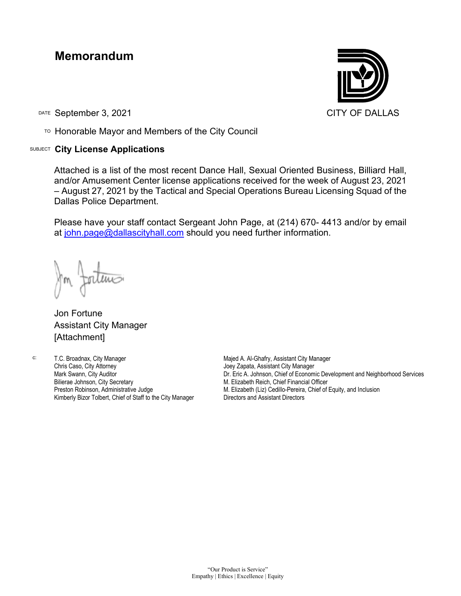## **Memorandum**

DATE September 3, 2021 CITY OF DALLAS

TO Honorable Mayor and Members of the City Council

## SUBJECT **City License Applications**



Attached is a list of the most recent Dance Hall, Sexual Oriented Business, Billiard Hall, and/or Amusement Center license applications received for the week of August 23, 2021 – August 27, 2021 by the Tactical and Special Operations Bureau Licensing Squad of the Dallas Police Department.

Please have your staff contact Sergeant John Page, at (214) 670- 4413 and/or by email at [john.page@dallascityhall.com](mailto:john.page@dallascityhall.com) should you need further information.

Jon Fortune Assistant City Manager [Attachment]

c: T.C. Broadnax, City Manager Chris Caso, City Attorney Mark Swann, City Auditor Bilierae Johnson, City Secretary Preston Robinson, Administrative Judge Kimberly Bizor Tolbert, Chief of Staff to the City Manager Majed A. Al-Ghafry, Assistant City Manager Joey Zapata, Assistant City Manager Dr. Eric A. Johnson, Chief of Economic Development and Neighborhood Services M. Elizabeth Reich, Chief Financial Officer M. Elizabeth (Liz) Cedillo-Pereira, Chief of Equity, and Inclusion Directors and Assistant Directors